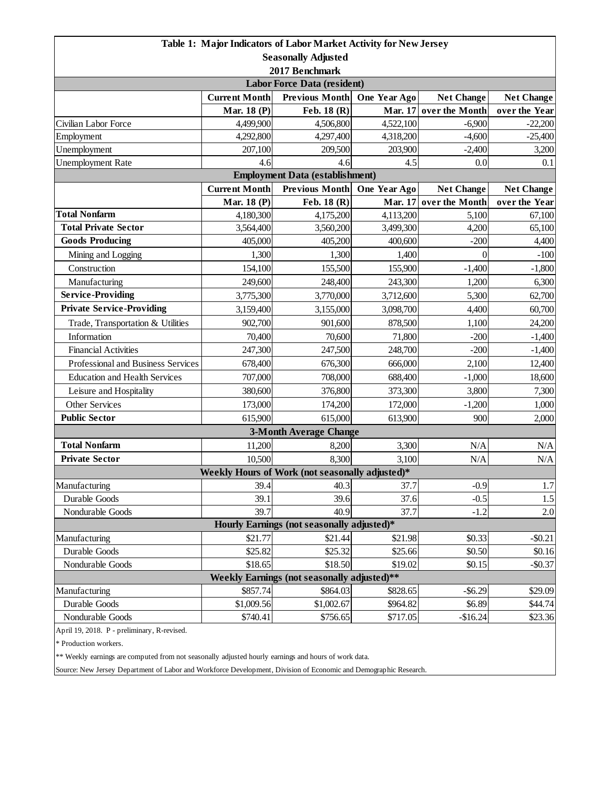|                                                 |                      | Table 1: Major Indicators of Labor Market Activity for New Jersey |                |                        |                   |  |  |  |
|-------------------------------------------------|----------------------|-------------------------------------------------------------------|----------------|------------------------|-------------------|--|--|--|
| <b>Seasonally Adjusted</b>                      |                      |                                                                   |                |                        |                   |  |  |  |
| 2017 Benchmark                                  |                      |                                                                   |                |                        |                   |  |  |  |
| <b>Labor Force Data (resident)</b>              |                      |                                                                   |                |                        |                   |  |  |  |
|                                                 | <b>Current Month</b> | <b>Previous Month</b>                                             | One Year Ago   | <b>Net Change</b>      | <b>Net Change</b> |  |  |  |
|                                                 | Mar. 18 (P)          | Feb. 18 (R)                                                       | <b>Mar. 17</b> | over the Month         | over the Year     |  |  |  |
| Civilian Labor Force                            | 4,499,900            | 4,506,800                                                         | 4,522,100      | $-6,900$               | $-22,200$         |  |  |  |
| Employment                                      | 4,292,800            | 4,297,400                                                         | 4,318,200      | $-4,600$               | $-25,400$         |  |  |  |
| Unemployment                                    | 207,100              | 209,500                                                           | 203,900        | $-2,400$               | 3,200             |  |  |  |
| <b>Unemployment Rate</b>                        | 4.6                  | 4.6                                                               | 4.5            | 0.0                    | 0.1               |  |  |  |
| <b>Employment Data (establishment)</b>          |                      |                                                                   |                |                        |                   |  |  |  |
|                                                 | <b>Current Month</b> | <b>Previous Month</b>                                             | One Year Ago   | <b>Net Change</b>      | <b>Net Change</b> |  |  |  |
|                                                 | <b>Mar. 18 (P)</b>   | Feb. 18 (R)                                                       |                | Mar. 17 over the Month | over the Year     |  |  |  |
| <b>Total Nonfarm</b>                            | 4,180,300            | 4,175,200                                                         | 4,113,200      | 5,100                  | 67,100            |  |  |  |
| <b>Total Private Sector</b>                     | 3,564,400            | 3,560,200                                                         | 3,499,300      | 4,200                  | 65,100            |  |  |  |
| <b>Goods Producing</b>                          | 405,000              | 405,200                                                           | 400,600        | $-200$                 | 4,400             |  |  |  |
| Mining and Logging                              | 1,300                | 1,300                                                             | 1,400          | $\theta$               | $-100$            |  |  |  |
| Construction                                    | 154,100              | 155,500                                                           | 155,900        | $-1,400$               | $-1,800$          |  |  |  |
| Manufacturing                                   | 249,600              | 248,400                                                           | 243,300        | 1,200                  | 6,300             |  |  |  |
| <b>Service-Providing</b>                        | 3,775,300            | 3,770,000                                                         | 3,712,600      | 5,300                  | 62,700            |  |  |  |
| <b>Private Service-Providing</b>                | 3,159,400            | 3,155,000                                                         | 3,098,700      | 4,400                  | 60,700            |  |  |  |
| Trade, Transportation & Utilities               | 902,700              | 901,600                                                           | 878,500        | 1,100                  | 24,200            |  |  |  |
| Information                                     | 70,400               | 70,600                                                            | 71,800         | $-200$                 | $-1,400$          |  |  |  |
| <b>Financial Activities</b>                     | 247,300              | 247,500                                                           | 248,700        | $-200$                 | $-1,400$          |  |  |  |
| Professional and Business Services              | 678,400              | 676,300                                                           | 666,000        | 2,100                  | 12,400            |  |  |  |
| <b>Education and Health Services</b>            | 707,000              | 708,000                                                           | 688,400        | $-1,000$               | 18,600            |  |  |  |
| Leisure and Hospitality                         | 380,600              | 376,800                                                           | 373,300        | 3,800                  | 7,300             |  |  |  |
| Other Services                                  | 173,000              | 174,200                                                           | 172,000        | $-1,200$               | 1,000             |  |  |  |
| <b>Public Sector</b>                            | 615,900              | 615,000                                                           | 613,900        | 900                    | 2,000             |  |  |  |
|                                                 |                      | <b>3-Month Average Change</b>                                     |                |                        |                   |  |  |  |
| <b>Total Nonfarm</b>                            | 11,200               | 8,200                                                             | 3,300          | N/A                    | N/A               |  |  |  |
| <b>Private Sector</b>                           | 10,500               | 8,300                                                             | 3,100          | N/A                    | N/A               |  |  |  |
| Weekly Hours of Work (not seasonally adjusted)* |                      |                                                                   |                |                        |                   |  |  |  |
| Manufacturing                                   | 39.4                 | 40.3                                                              | 37.7           | $-0.9$                 | 1.7               |  |  |  |
| Durable Goods                                   | 39.1                 | 39.6                                                              | 37.6           | $-0.5$                 | 1.5               |  |  |  |
| Nondurable Goods                                | 39.7                 | 40.9                                                              | 37.7           | $-1.2$                 | 2.0               |  |  |  |
| Hourly Earnings (not seasonally adjusted)*      |                      |                                                                   |                |                        |                   |  |  |  |
| Manufacturing                                   | \$21.77              | \$21.44                                                           | \$21.98        | \$0.33                 | $-$ \$0.21        |  |  |  |
| Durable Goods                                   | \$25.82              | \$25.32                                                           | \$25.66        | \$0.50                 | \$0.16            |  |  |  |
| Nondurable Goods                                | \$18.65              | \$18.50                                                           | \$19.02        | \$0.15                 | $-$0.37$          |  |  |  |
| Weekly Earnings (not seasonally adjusted)**     |                      |                                                                   |                |                        |                   |  |  |  |
| Manufacturing                                   | \$857.74             | \$864.03                                                          | \$828.65       | $-$ \$6.29             | \$29.09           |  |  |  |
| Durable Goods                                   | \$1,009.56           | \$1,002.67                                                        | \$964.82       | \$6.89                 | \$44.74           |  |  |  |
| Nondurable Goods                                | \$740.41             | \$756.65                                                          | \$717.05       | $-$16.24$              | \$23.36           |  |  |  |
| April 19, 2018. P - preliminary, R-revised.     |                      |                                                                   |                |                        |                   |  |  |  |

\* Production workers.

\*\* Weekly earnings are computed from not seasonally adjusted hourly earnings and hours of work data.

Source: New Jersey Department of Labor and Workforce Development, Division of Economic and Demographic Research.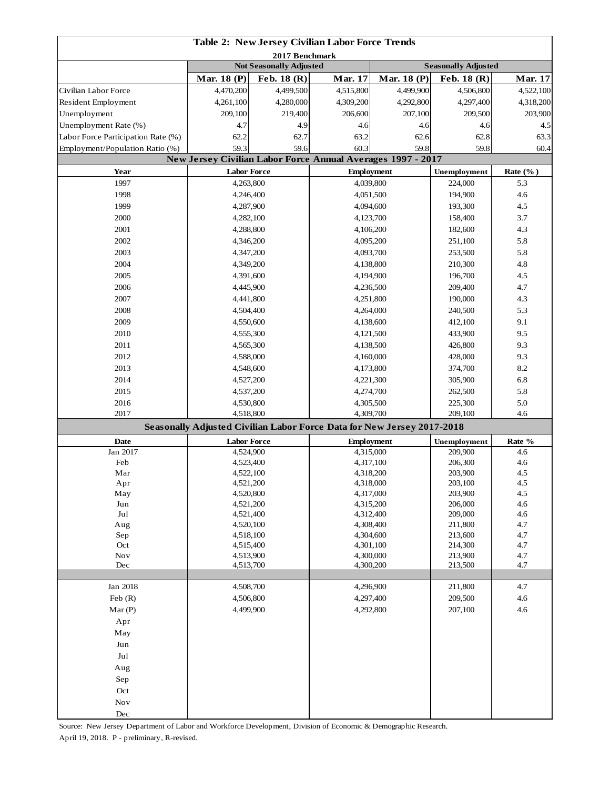|                                    |                                                                        |                                        | Table 2: New Jersey Civilian Labor Force Trends                                    |                                                                 |                    |                             |
|------------------------------------|------------------------------------------------------------------------|----------------------------------------|------------------------------------------------------------------------------------|-----------------------------------------------------------------|--------------------|-----------------------------|
|                                    |                                                                        | 2017 Benchmark                         |                                                                                    |                                                                 |                    |                             |
|                                    | Mar. 18 (P)                                                            | Not Seasonally Adjusted<br>Feb. 18 (R) | <b>Mar. 17</b>                                                                     | <b>Seasonally Adjusted</b><br><b>Mar. 18 (P)</b><br>Feb. 18 (R) |                    |                             |
| Civilian Labor Force               | 4,470,200                                                              | 4,499,500                              | 4,515,800                                                                          | 4,499,900                                                       | 4,506,800          | <b>Mar. 17</b><br>4,522,100 |
| Resident Employment                | 4,261,100                                                              | 4,280,000                              | 4,309,200                                                                          | 4,292,800                                                       | 4,297,400          | 4,318,200                   |
| Unemployment                       | 209,100                                                                | 219,400                                | 206,600                                                                            | 207,100                                                         | 209,500            | 203,900                     |
| Unemployment Rate (%)              | 4.7                                                                    | 4.9                                    | 4.6                                                                                | 4.6                                                             | 4.6                | 4.5                         |
| Labor Force Participation Rate (%) | 62.2                                                                   | 62.7                                   |                                                                                    |                                                                 | 62.8               | 63.3                        |
| Employment/Population Ratio (%)    | 59.3                                                                   | 59.6                                   | 63.2<br>62.6                                                                       |                                                                 | 59.8               | 60.4                        |
|                                    |                                                                        |                                        | 60.3<br>59.8<br><b>New Jersey Civilian Labor Force Annual Averages 1997 - 2017</b> |                                                                 |                    |                             |
| Year                               | <b>Labor Force</b>                                                     |                                        | <b>Employment</b>                                                                  |                                                                 | Unemployment       | Rate $(\%$ )                |
| 1997                               | 4,263,800                                                              |                                        |                                                                                    |                                                                 | 224,000            | 5.3                         |
| 1998                               | 4,246,400                                                              |                                        | 4,039,800<br>4,051,500                                                             |                                                                 | 194,900            | 4.6                         |
| 1999                               | 4,287,900                                                              |                                        | 4,094,600                                                                          |                                                                 | 193,300            | 4.5                         |
| 2000                               | 4,282,100                                                              |                                        |                                                                                    |                                                                 | 158,400            | 3.7                         |
| 2001                               |                                                                        |                                        | 4,123,700<br>4,106,200                                                             |                                                                 |                    |                             |
|                                    | 4,288,800                                                              |                                        |                                                                                    |                                                                 | 182,600            | 4.3                         |
| 2002                               | 4,346,200                                                              |                                        | 4,095,200                                                                          |                                                                 | 251,100            | 5.8                         |
| 2003                               | 4,347,200                                                              |                                        | 4,093,700                                                                          |                                                                 | 253,500            | 5.8                         |
| 2004                               | 4,349,200                                                              |                                        | 4,138,800                                                                          |                                                                 | 210,300            | 4.8                         |
| 2005                               | 4,391,600                                                              |                                        | 4,194,900                                                                          |                                                                 | 196,700            | 4.5                         |
| 2006                               | 4,445,900                                                              |                                        | 4,236,500                                                                          |                                                                 | 209,400            | 4.7                         |
| 2007                               | 4,441,800                                                              |                                        | 4,251,800                                                                          |                                                                 | 190,000            | 4.3                         |
| 2008                               | 4,504,400                                                              |                                        | 4,264,000                                                                          |                                                                 | 240,500            | 5.3                         |
| 2009                               | 4,550,600                                                              |                                        | 4,138,600                                                                          |                                                                 | 412,100            | 9.1                         |
| 2010                               | 4,555,300                                                              |                                        | 4,121,500                                                                          |                                                                 | 433,900            | 9.5                         |
| 2011                               | 4,565,300                                                              |                                        | 4,138,500                                                                          |                                                                 | 426,800            | 9.3                         |
| 2012                               | 4,588,000                                                              |                                        | 4,160,000                                                                          |                                                                 | 428,000            | 9.3                         |
| 2013                               | 4,548,600                                                              |                                        | 4,173,800                                                                          |                                                                 | 374,700            | 8.2                         |
| 2014                               | 4,527,200                                                              |                                        | 4,221,300                                                                          |                                                                 | 305,900            | 6.8                         |
| 2015                               | 4,537,200                                                              |                                        | 4,274,700                                                                          |                                                                 | 262,500            | 5.8                         |
| 2016                               | 4,530,800                                                              |                                        | 4,305,500                                                                          |                                                                 | 225,300            | 5.0                         |
| 2017                               | 4,518,800                                                              |                                        | 4,309,700                                                                          |                                                                 | 209,100            | 4.6                         |
|                                    | Seasonally Adjusted Civilian Labor Force Data for New Jersey 2017-2018 |                                        |                                                                                    |                                                                 |                    |                             |
| Date                               | <b>Labor Force</b>                                                     |                                        | <b>Employment</b>                                                                  |                                                                 | Unemployment       | Rate %                      |
| Jan 2017                           | 4,524,900                                                              |                                        | 4,315,000                                                                          |                                                                 | 209,900            | 4.6                         |
| Feb                                | 4,523,400                                                              |                                        | 4,317,100                                                                          |                                                                 | 206,300<br>203,900 | 4.6                         |
| Mar                                |                                                                        | 4,522,100                              |                                                                                    | 4,318,200                                                       |                    | 4.5                         |
| Apr                                | 4,521,200                                                              |                                        | 4,318,000                                                                          |                                                                 | 203,100<br>203,900 | 4.5                         |
| May                                |                                                                        | 4,520,800                              |                                                                                    | 4,317,000                                                       |                    | 4.5                         |
| Jun                                | 4,521,200                                                              |                                        | 4,315,200                                                                          |                                                                 | 206,000            | 4.6                         |
| Jul                                | 4,521,400                                                              |                                        | 4,312,400                                                                          |                                                                 | 209,000            | 4.6                         |
| Aug<br>Sep                         | 4,520,100                                                              |                                        | 4,308,400<br>4,304,600                                                             |                                                                 | 211,800<br>213,600 | 4.7<br>4.7                  |
| Oct                                | 4,518,100<br>4,515,400                                                 |                                        | 4,301,100                                                                          |                                                                 | 214,300            | 4.7                         |
| <b>Nov</b>                         | 4,513,900                                                              |                                        | 4,300,000                                                                          |                                                                 | 213,900            | 4.7                         |
| Dec                                | 4,513,700                                                              |                                        | 4,300,200                                                                          |                                                                 | 213,500            | 4.7                         |
|                                    |                                                                        |                                        |                                                                                    |                                                                 |                    |                             |
| Jan 2018                           | 4,508,700                                                              |                                        | 4,296,900                                                                          |                                                                 | 211,800            | 4.7                         |
| Feb $(R)$                          | 4,506,800                                                              |                                        | 4,297,400                                                                          |                                                                 | 209,500            | 4.6                         |
| Mar(P)                             | 4,499,900                                                              |                                        | 4,292,800                                                                          |                                                                 | 207,100            | 4.6                         |
| Apr                                |                                                                        |                                        |                                                                                    |                                                                 |                    |                             |
| May                                |                                                                        |                                        |                                                                                    |                                                                 |                    |                             |
| Jun                                |                                                                        |                                        |                                                                                    |                                                                 |                    |                             |
| Jul                                |                                                                        |                                        |                                                                                    |                                                                 |                    |                             |
| Aug                                |                                                                        |                                        |                                                                                    |                                                                 |                    |                             |
| Sep                                |                                                                        |                                        |                                                                                    |                                                                 |                    |                             |
| Oct                                |                                                                        |                                        |                                                                                    |                                                                 |                    |                             |
| <b>Nov</b>                         |                                                                        |                                        |                                                                                    |                                                                 |                    |                             |
| $\rm Dec$                          |                                                                        |                                        |                                                                                    |                                                                 |                    |                             |

Source: New Jersey Department of Labor and Workforce Development, Division of Economic & Demographic Research.

April 19, 2018. P - preliminary, R-revised.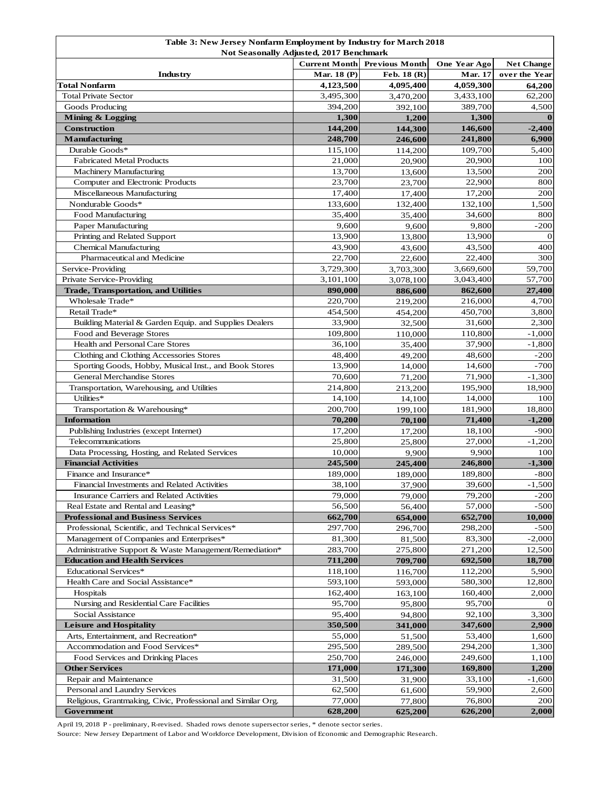| Table 3: New Jersey Nonfarm Employment by Industry for March 2018<br><b>Not Seasonally Adjusted, 2017 Benchmark</b> |                      |                       |                   |                    |  |
|---------------------------------------------------------------------------------------------------------------------|----------------------|-----------------------|-------------------|--------------------|--|
|                                                                                                                     | <b>Current Month</b> | <b>Previous Month</b> | One Year Ago      | <b>Net Change</b>  |  |
| Industry                                                                                                            | Mar. 18 (P)          | Feb. 18 (R)           | <b>Mar. 17</b>    | over the Year      |  |
| Total Nonfarm                                                                                                       | 4,123,500            | 4,095,400             | 4,059,300         | 64,200             |  |
| <b>Total Private Sector</b>                                                                                         | 3,495,300            | 3,470,200             | 3,433,100         | 62,200             |  |
| Goods Producing                                                                                                     | 394,200              | 392,100               | 389,700           | 4,500              |  |
| <b>Mining &amp; Logging</b>                                                                                         | 1,300                | 1,200                 | 1,300             | $\bf{0}$           |  |
| <b>Construction</b>                                                                                                 | 144,200              | 144,300               | 146,600           | $-2,400$           |  |
| <b>Manufacturing</b>                                                                                                | 248,700              | 246,600               | 241,800           | 6,900              |  |
| Durable Goods*                                                                                                      | 115,100              | 114,200               | 109,700           | 5,400              |  |
| <b>Fabricated Metal Products</b>                                                                                    | 21,000               | 20,900                | 20,900            | 100                |  |
| Machinery Manufacturing                                                                                             | 13,700               | 13,600                | 13,500            | 200                |  |
| Computer and Electronic Products                                                                                    | 23,700               | 23,700                | 22,900            | 800                |  |
| Miscellaneous Manufacturing                                                                                         | 17,400               | 17,400                | 17,200            | 200                |  |
| Nondurable Goods*                                                                                                   | 133,600              | 132,400               | 132,100           | 1,500              |  |
| Food Manufacturing                                                                                                  | 35,400               | 35,400                | 34,600            | 800                |  |
| Paper Manufacturing                                                                                                 | 9,600                | 9,600                 | 9,800             | $-200$             |  |
| Printing and Related Support                                                                                        | 13,900               | 13,800                | 13,900            | $\vert$ 0          |  |
| Chemical Manufacturing                                                                                              | 43,900               | 43,600                | 43,500            | 400                |  |
| Pharmaceutical and Medicine                                                                                         | 22,700               | 22,600                | 22,400            | 300                |  |
| Service-Providing                                                                                                   | 3,729,300            | 3,703,300             | 3,669,600         | 59,700             |  |
| <b>Private Service-Providing</b>                                                                                    | 3,101,100            | 3,078,100             | 3,043,400         | 57,700             |  |
| <b>Trade, Transportation, and Utilities</b>                                                                         | 890,000              | 886,600               | 862,600           | 27,400             |  |
| Wholesale Trade*                                                                                                    | 220,700              | 219,200               | 216,000           | 4,700              |  |
| Retail Trade*                                                                                                       | 454,500              | 454,200               | 450,700           | 3,800              |  |
| Building Material & Garden Equip. and Supplies Dealers                                                              | 33,900               | 32,500                | 31,600            | 2,300              |  |
| Food and Beverage Stores                                                                                            | 109,800              | 110,000               | 110,800           | $-1,000$           |  |
| Health and Personal Care Stores                                                                                     | 36,100               | 35,400                | 37,900            | $-1,800$           |  |
| Clothing and Clothing Accessories Stores                                                                            | 48,400               | 49,200                | 48,600            | $-200$             |  |
| Sporting Goods, Hobby, Musical Inst., and Book Stores                                                               | 13,900               | 14,000                | 14,600            | $-700$             |  |
| <b>General Merchandise Stores</b>                                                                                   | 70,600               | 71,200                | 71,900            | $-1,300$           |  |
| Transportation, Warehousing, and Utilities                                                                          | 214,800              | 213,200               | 195,900           | 18,900             |  |
| Utilities*                                                                                                          | 14,100               | 14,100                | 14,000            | 100                |  |
| Transportation & Warehousing*                                                                                       | 200,700              | 199,100               | 181,900           | 18,800             |  |
| <b>Information</b>                                                                                                  | 70,200               | 70,100                | 71,400            | $-1,200$           |  |
| Publishing Industries (except Internet)                                                                             | 17,200               | 17,200                | 18,100            | $-900$             |  |
| Telecommunications                                                                                                  | 25,800               | 25,800                | 27,000            | $-1,200$           |  |
| Data Processing, Hosting, and Related Services                                                                      | 10,000               | 9,900                 | 9,900             | 100                |  |
| <b>Financial Activities</b>                                                                                         | 245,500              | 245,400               | 246,800           | $-1,300$           |  |
| Finance and Insurance*                                                                                              | 189,000              | 189,000               | 189,800           | $-800$             |  |
| Financial Investments and Related Activities                                                                        | 38,100               | 37,900                | 39,600            | $-1,500$           |  |
| Insurance Carriers and Related Activities                                                                           | 79,000               | 79,000                | 79,200            | $-200$             |  |
| Real Estate and Rental and Leasing*                                                                                 | 56,500               | 56,400                | 57,000            | $-500$             |  |
| <b>Professional and Business Services</b>                                                                           | 662,700              | 654,000               | 652,700           | 10,000             |  |
| Professional, Scientific, and Technical Services*                                                                   | 297,700              | 296,700               | 298,200           | $-500$             |  |
| Management of Companies and Enterprises*<br>Administrative Support & Waste Management/Remediation*                  | 81,300<br>283,700    | 81,500                | 83,300<br>271,200 | $-2,000$<br>12,500 |  |
| <b>Education and Health Services</b>                                                                                | 711,200              | 275,800               | 692,500           | 18,700             |  |
| <b>Educational Services*</b>                                                                                        | 118,100              | 709,700<br>116,700    | 112,200           | 5,900              |  |
| Health Care and Social Assistance*                                                                                  | 593,100              | 593,000               | 580,300           | 12,800             |  |
| Hospitals                                                                                                           | 162,400              | 163,100               | 160,400           | 2,000              |  |
| Nursing and Residential Care Facilities                                                                             | 95,700               | 95,800                | 95,700            | $\Omega$           |  |
| Social Assistance                                                                                                   | 95,400               | 94,800                | 92,100            | 3,300              |  |
| <b>Leisure and Hospitality</b>                                                                                      | 350,500              | 341,000               | 347,600           | 2,900              |  |
| Arts, Entertainment, and Recreation*                                                                                | 55,000               | 51,500                | 53,400            | 1,600              |  |
| Accommodation and Food Services*                                                                                    | 295,500              | 289,500               | 294,200           | 1,300              |  |
| Food Services and Drinking Places                                                                                   | 250,700              | 246,000               | 249,600           | 1,100              |  |
| <b>Other Services</b>                                                                                               | 171,000              | 171,300               | 169,800           | 1,200              |  |
| Repair and Maintenance                                                                                              | 31,500               | 31,900                | 33,100            | $-1,600$           |  |
| Personal and Laundry Services                                                                                       | 62,500               | 61,600                | 59,900            | 2,600              |  |
| Religious, Grantmaking, Civic, Professional and Similar Org.                                                        | 77,000               | 77,800                | 76,800            | 200                |  |
| Government                                                                                                          | 628,200              | 625,200               | 626,200           | 2,000              |  |

April 19, 2018 P - preliminary, R-revised. Shaded rows denote supersector series, \* denote sector series.

Source: New Jersey Department of Labor and Workforce Development, Division of Economic and Demographic Research.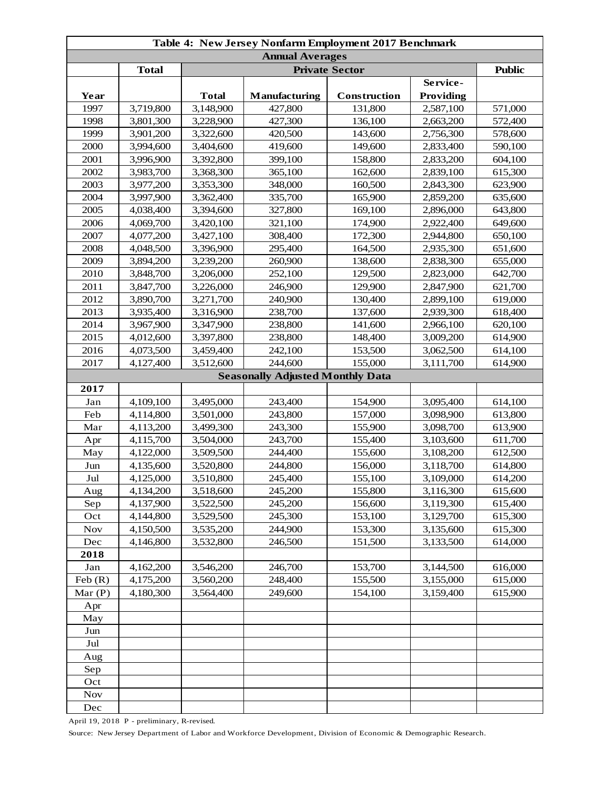| Table 4: New Jersey Nonfarm Employment 2017 Benchmark |              |              |                                         |              |                  |         |  |
|-------------------------------------------------------|--------------|--------------|-----------------------------------------|--------------|------------------|---------|--|
| <b>Annual Averages</b>                                |              |              |                                         |              |                  |         |  |
|                                                       | <b>Total</b> |              | <b>Public</b>                           |              |                  |         |  |
|                                                       |              |              |                                         |              | Service-         |         |  |
| Year                                                  |              | <b>Total</b> | Manufacturing                           | Construction | <b>Providing</b> |         |  |
| 1997                                                  | 3,719,800    | 3,148,900    | 427,800                                 | 131,800      | 2,587,100        | 571,000 |  |
| 1998                                                  | 3,801,300    | 3,228,900    | 427,300                                 | 136,100      | 2,663,200        | 572,400 |  |
| 1999                                                  | 3,901,200    | 3,322,600    | 420,500                                 | 143,600      | 2,756,300        | 578,600 |  |
| 2000                                                  | 3,994,600    | 3,404,600    | 419,600                                 | 149,600      | 2,833,400        | 590,100 |  |
| 2001                                                  | 3,996,900    | 3,392,800    | 399,100                                 | 158,800      | 2,833,200        | 604,100 |  |
| 2002                                                  | 3,983,700    | 3,368,300    | 365,100                                 | 162,600      | 2,839,100        | 615,300 |  |
| 2003                                                  | 3,977,200    | 3,353,300    | 348,000                                 | 160,500      | 2,843,300        | 623,900 |  |
| 2004                                                  | 3,997,900    | 3,362,400    | 335,700                                 | 165,900      | 2,859,200        | 635,600 |  |
| 2005                                                  | 4,038,400    | 3,394,600    | 327,800                                 | 169,100      | 2,896,000        | 643,800 |  |
| 2006                                                  | 4,069,700    | 3,420,100    | 321,100                                 | 174,900      | 2,922,400        | 649,600 |  |
| 2007                                                  | 4,077,200    | 3,427,100    | 308,400                                 | 172,300      | 2,944,800        | 650,100 |  |
| 2008                                                  | 4,048,500    | 3,396,900    | 295,400                                 | 164,500      | 2,935,300        | 651,600 |  |
| 2009                                                  | 3,894,200    | 3,239,200    | 260,900                                 | 138,600      | 2,838,300        | 655,000 |  |
| 2010                                                  | 3,848,700    | 3,206,000    | 252,100                                 | 129,500      | 2,823,000        | 642,700 |  |
| 2011                                                  | 3,847,700    | 3,226,000    | 246,900                                 | 129,900      | 2,847,900        | 621,700 |  |
| 2012                                                  | 3,890,700    | 3,271,700    | 240,900                                 | 130,400      | 2,899,100        | 619,000 |  |
| 2013                                                  | 3,935,400    | 3,316,900    | 238,700                                 | 137,600      | 2,939,300        | 618,400 |  |
| 2014                                                  | 3,967,900    | 3,347,900    | 238,800                                 | 141,600      | 2,966,100        | 620,100 |  |
| 2015                                                  | 4,012,600    | 3,397,800    | 238,800                                 | 148,400      | 3,009,200        | 614,900 |  |
| 2016                                                  | 4,073,500    | 3,459,400    | 242,100                                 | 153,500      | 3,062,500        | 614,100 |  |
| 2017                                                  | 4,127,400    | 3,512,600    | 244,600                                 | 155,000      | 3,111,700        | 614,900 |  |
|                                                       |              |              | <b>Seasonally Adjusted Monthly Data</b> |              |                  |         |  |
| 2017                                                  |              |              |                                         |              |                  |         |  |
| Jan                                                   | 4,109,100    | 3,495,000    | 243,400                                 | 154,900      | 3,095,400        | 614,100 |  |
| Feb                                                   | 4,114,800    | 3,501,000    | 243,800                                 | 157,000      | 3,098,900        | 613,800 |  |
| Mar                                                   | 4,113,200    | 3,499,300    | 243,300                                 | 155,900      | 3,098,700        | 613,900 |  |
| Apr                                                   | 4,115,700    | 3,504,000    | 243,700                                 | 155,400      | 3,103,600        | 611,700 |  |
| May                                                   | 4,122,000    | 3,509,500    | 244,400                                 | 155,600      | 3,108,200        | 612,500 |  |
| Jun                                                   | 4,135,600    | 3,520,800    | 244,800                                 | 156,000      | 3,118,700        | 614,800 |  |
| $\mathrm{Jul}$                                        | 4,125,000    | 3,510,800    | 245,400                                 | 155,100      | 3,109,000        | 614,200 |  |
| Aug                                                   | 4,134,200    | 3,518,600    | 245,200                                 | 155,800      | 3,116,300        | 615,600 |  |
| Sep                                                   | 4,137,900    | 3,522,500    | 245,200                                 | 156,600      | 3,119,300        | 615,400 |  |
| Oct                                                   | 4,144,800    | 3,529,500    | 245,300                                 | 153,100      | 3,129,700        | 615,300 |  |
| <b>Nov</b>                                            | 4,150,500    | 3,535,200    | 244,900                                 | 153,300      | 3,135,600        | 615,300 |  |
| Dec                                                   | 4,146,800    | 3,532,800    | 246,500                                 | 151,500      | 3,133,500        | 614,000 |  |
| 2018                                                  |              |              |                                         |              |                  |         |  |
| Jan                                                   | 4,162,200    | 3,546,200    | 246,700                                 | 153,700      | 3,144,500        | 616,000 |  |
| Feb $(R)$                                             | 4,175,200    | 3,560,200    | 248,400                                 | 155,500      | 3,155,000        | 615,000 |  |
| Mar $(P)$                                             | 4,180,300    | 3,564,400    | 249,600                                 | 154,100      | 3,159,400        | 615,900 |  |
| Apr                                                   |              |              |                                         |              |                  |         |  |
| May                                                   |              |              |                                         |              |                  |         |  |
| Jun                                                   |              |              |                                         |              |                  |         |  |
| Jul                                                   |              |              |                                         |              |                  |         |  |
| Aug                                                   |              |              |                                         |              |                  |         |  |
| Sep                                                   |              |              |                                         |              |                  |         |  |
| Oct                                                   |              |              |                                         |              |                  |         |  |
| <b>Nov</b>                                            |              |              |                                         |              |                  |         |  |
| Dec                                                   |              |              |                                         |              |                  |         |  |

April 19, 2018 P - preliminary, R-revised.

Source: New Jersey Department of Labor and Workforce Development, Division of Economic & Demographic Research.